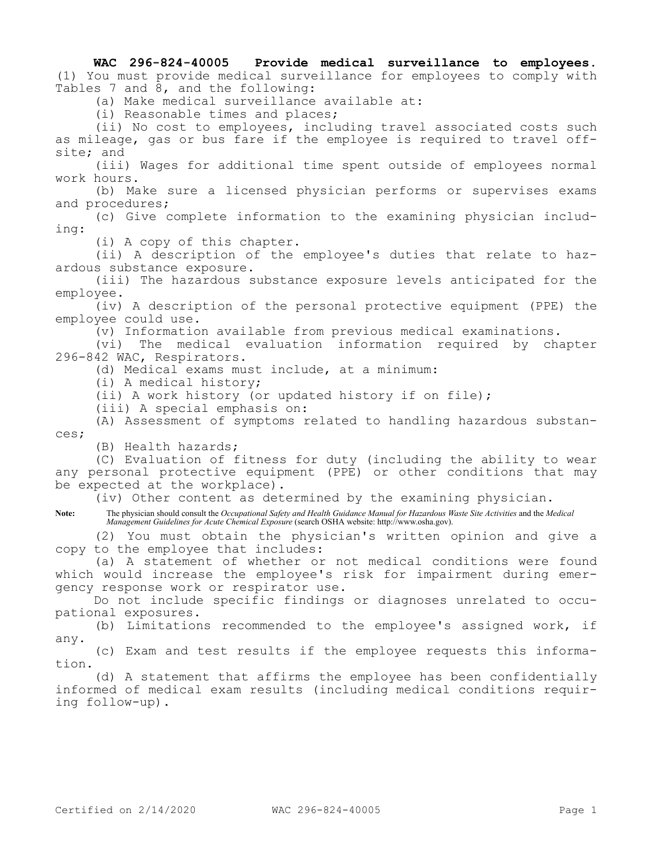**WAC 296-824-40005 Provide medical surveillance to employees.**  (1) You must provide medical surveillance for employees to comply with Tables 7 and 8, and the following:

(a) Make medical surveillance available at:

(i) Reasonable times and places;

(ii) No cost to employees, including travel associated costs such as mileage, gas or bus fare if the employee is required to travel offsite; and

(iii) Wages for additional time spent outside of employees normal work hours.

(b) Make sure a licensed physician performs or supervises exams and procedures;

(c) Give complete information to the examining physician including:

(i) A copy of this chapter.

(ii) A description of the employee's duties that relate to hazardous substance exposure.

(iii) The hazardous substance exposure levels anticipated for the employee.

(iv) A description of the personal protective equipment (PPE) the employee could use.

(v) Information available from previous medical examinations.

(vi) The medical evaluation information required by chapter 296-842 WAC, Respirators.

(d) Medical exams must include, at a minimum:

(i) A medical history;

(ii) A work history (or updated history if on file);

(iii) A special emphasis on:

(A) Assessment of symptoms related to handling hazardous substances;

(B) Health hazards;

(C) Evaluation of fitness for duty (including the ability to wear any personal protective equipment (PPE) or other conditions that may be expected at the workplace).

(iv) Other content as determined by the examining physician.

**Note:** The physician should consult the *Occupational Safety and Health Guidance Manual for Hazardous Waste Site Activities* and the *Medical Management Guidelines for Acute Chemical Exposure* (search OSHA website: http://www.osha.gov).

(2) You must obtain the physician's written opinion and give a copy to the employee that includes:

(a) A statement of whether or not medical conditions were found which would increase the employee's risk for impairment during emergency response work or respirator use.

Do not include specific findings or diagnoses unrelated to occupational exposures.

(b) Limitations recommended to the employee's assigned work, if any.

(c) Exam and test results if the employee requests this information.

(d) A statement that affirms the employee has been confidentially informed of medical exam results (including medical conditions requiring follow-up).